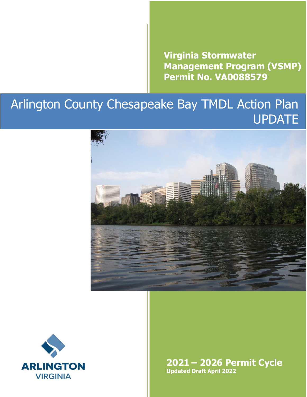**Virginia Stormwater Management Program (VSMP) Permit No. VA0088579** 

# Arlington County Chesapeake Bay TMDL Action Plan UPDATE





**2021 – 2026 Permit Cycle Updated Draft April 2022**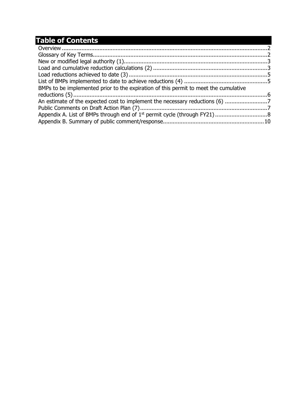## **Table of Contents**

| BMPs to be implemented prior to the expiration of this permit to meet the cumulative |  |
|--------------------------------------------------------------------------------------|--|
|                                                                                      |  |
|                                                                                      |  |
|                                                                                      |  |
|                                                                                      |  |
|                                                                                      |  |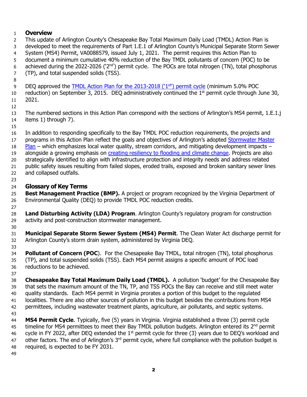#### <span id="page-3-0"></span>**Overview**

- This update of Arlington County's Chesapeake Bay Total Maximum Daily Load (TMDL) Action Plan is developed to meet the requirements of Part 1.E.1 of Arlington County's Municipal Separate Storm Sewer System (MS4) Permit, VA0088579, issued July 1, 2021. The permit requires this Action Plan to document a minimum cumulative 40% reduction of the Bay TMDL pollutants of concern (POC) to be 6 achieved during the 2022-2026 ('2<sup>nd'</sup>) permit cycle. The POCs are total nitrogen (TN), total phosphorus
- (TP), and total suspended solids (TSS).
- 
- 9 DEQ approved the [TMDL Action Plan for the 2013-2018](https://www.arlingtonva.us/files/sharedassets/public/Projects/Documents/Chesapeake-Bay-TMDL-Action-Plan-Final-09.03.15.pdf) ('1st) permit cycle (minimum 5.0% POC 10 reduction) on September 3, 2015. DEQ administratively continued the  $1<sup>st</sup>$  permit cycle through June 30, 2021.
- 

 The numbered sections in this Action Plan correspond with the sections of Arlington's MS4 permit, 1.E.1.j items 1) through 7).

 In addition to responding specifically to the Bay TMDL POC reduction requirements, the projects and 17 programs in this Action Plan reflect the goals and objectives of Arlington's adopted Stormwater Master [Plan](https://www.arlingtonva.us/Government/Projects/Plans-Studies/Environment/Stormwater-Master-Plan) – which emphasizes local water quality, stream corridors, and mitigating development impacts – 19 alongside a growing emphasis on [creating resiliency to flooding and climate change.](https://www.arlingtonva.us/Government/Programs/Flooding) Projects are also strategically identified to align with infrastructure protection and integrity needs and address related public safety issues resulting from failed slopes, eroded trails, exposed and broken sanitary sewer lines and collapsed outfalls. 

### <span id="page-3-1"></span>**Glossary of Key Terms**

 **Best Management Practice (BMP).** A project or program recognized by the Virginia Department of Environmental Quality (DEQ) to provide TMDL POC reduction credits.

 **Land Disturbing Activity (LDA) Program**. Arlington County's regulatory program for construction activity and post-construction stormwater management.

 **Municipal Separate Storm Sewer System (MS4) Permit**. The Clean Water Act discharge permit for Arlington County's storm drain system, administered by Virginia DEQ.

 **Pollutant of Concern (POC**). For the Chesapeake Bay TMDL, total nitrogen (TN), total phosphorus (TP), and total suspended solids (TSS). Each MS4 permit assigns a specific amount of POC load reductions to be achieved.

 **Chesapeake Bay Total Maximum Daily Load (TMDL).** A pollution 'budget' for the Chesapeake Bay that sets the maximum amount of the TN, TP, and TSS POCs the Bay can receive and still meet water quality standards. Each MS4 permit in Virginia prorates a portion of this budget to the regulated localities. There are also other sources of pollution in this budget besides the contributions from MS4 permittees, including wastewater treatment plants, agriculture, air pollutants, and septic systems.

 **MS4 Permit Cycle**. Typically, five (5) years in Virginia. Virginia established a three (3) permit cycle 45 timeline for MS4 permittees to meet their Bay TMDL pollution budgets. Arlington entered its 2<sup>nd</sup> permit 46 cycle in FY 2022, after DEQ extended the  $1<sup>st</sup>$  permit cycle for three (3) years due to DEQ's workload and 47 other factors. The end of Arlington's 3<sup>rd</sup> permit cycle, where full compliance with the pollution budget is required, is expected to be FY 2031.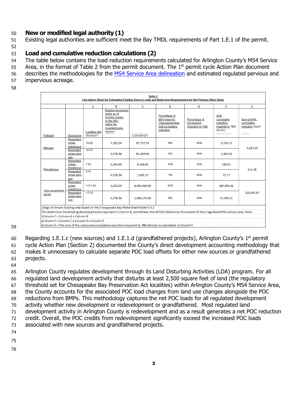#### <span id="page-4-0"></span>**New or modified legal authority (1)**

- Existing legal authorities are sufficient meet the Bay TMDL requirements of Part 1.E.1 of the permit.
- 

#### <span id="page-4-1"></span>**Load and cumulative reduction calculations (2)**

- The table below contains the load reduction requirements calculated for Arlington County's MS4 Service
- 55 Area, in the format of Table 2 from the permit document. The  $1<sup>st</sup>$  permit cycle Action Plan document
- 56 describes the methodologies for the [MS4 Service Area delineation](https://www.arlingtonva.us/files/sharedassets/public/Projects/Documents/Chesapeake-Bay-TMDL-Action-Plan-Appendix-A-MS4-Service-Area.pdf) and estimated regulated pervious and
- impervious acreage.
- 

| <b>Table 2</b><br>Calculation Sheet for Estimating Existing Source Loads and Reduction Requirements for the Potomac River Basin |                                  |                              |                                                                                                                                  |               |                                                                                                |                                                                                                                                                          |                                                               |                                                            |
|---------------------------------------------------------------------------------------------------------------------------------|----------------------------------|------------------------------|----------------------------------------------------------------------------------------------------------------------------------|---------------|------------------------------------------------------------------------------------------------|----------------------------------------------------------------------------------------------------------------------------------------------------------|---------------------------------------------------------------|------------------------------------------------------------|
|                                                                                                                                 |                                  | Α                            | B                                                                                                                                | ⊵             | D                                                                                              | E                                                                                                                                                        | E                                                             | G                                                          |
| Pollutant                                                                                                                       | Subsource                        | Loading rate<br>(Ibs/ac/yr)* | <b>Existing developed</b><br>lands as of<br>6/30/09 served<br>by the MS4<br>within the<br>requiated area<br>(acres) <sup>2</sup> | Load (Ibs/yr) | Percentage of<br><b>MS4</b> required<br><b>Chesapeake Bay</b><br>total L2 loading<br>reduction | Percentage of<br>L2 required<br>reduction by TBD                                                                                                         | 40%<br>cumulative<br>reduction<br>required by TBD<br>(lbs/vr) | Sum of 40%<br>cumulative<br>reduction (lb/yr) <sup>s</sup> |
| Nitrogen                                                                                                                        | Regulated<br>urban<br>impervious | 16.86                        | 5.203.59                                                                                                                         | 87,732.53     | 9%                                                                                             | 40%                                                                                                                                                      | 3.158.37                                                      | 4,627.39                                                   |
|                                                                                                                                 | Regulated<br>urban pervi<br>ous  | 10.07                        | 6,078.36                                                                                                                         | 61,209.09     | 6%                                                                                             | 40%                                                                                                                                                      | 1,469.02                                                      |                                                            |
| <b>Phosphorus</b>                                                                                                               | Regulated<br>Urban<br>Impervious | 1.62                         | 5,203.59                                                                                                                         | 8,429.82      | 16%                                                                                            | 40%                                                                                                                                                      | 539.51                                                        | 611.78                                                     |
|                                                                                                                                 | Regulated<br>urban pervi<br>ous  | 0.41                         | 6.078.36                                                                                                                         | 2.492.13      | 7%                                                                                             | 40%                                                                                                                                                      | 72.27                                                         |                                                            |
| <b>Total suspended</b>                                                                                                          | Regulated<br>urban<br>impervious | 1171.32                      | 5.203.59                                                                                                                         | 6.095.069.04  | 20%                                                                                            | 40%                                                                                                                                                      | 487,605.52                                                    |                                                            |
| solids                                                                                                                          | Regulated<br>urban pervi<br>ous  | 175.8                        | 6,078.36                                                                                                                         | 1,068,575.69  | 9%                                                                                             | 40%                                                                                                                                                      | 37,400.15                                                     | 525,005.67                                                 |
|                                                                                                                                 |                                  |                              | 1Edge of stream loading rate based on the Chesapeake Bay Watershed Model 5.3.2                                                   |               |                                                                                                |                                                                                                                                                          |                                                               |                                                            |
|                                                                                                                                 |                                  |                              |                                                                                                                                  |               |                                                                                                | 2To determine the existing developed acres required in Column B, permittees should first determine the extent of their regulated MS4 service area. Next, |                                                               |                                                            |
| 3Column C = Column A x Column B                                                                                                 |                                  |                              |                                                                                                                                  |               |                                                                                                |                                                                                                                                                          |                                                               |                                                            |
| 4Column F = Column C x Column D x Column E.                                                                                     |                                  |                              |                                                                                                                                  |               |                                                                                                |                                                                                                                                                          |                                                               |                                                            |
| 5Column G = The sum of the subsource cumulative reduction required by TBD (lbs/yr) as calculated in Column F.                   |                                  |                              |                                                                                                                                  |               |                                                                                                |                                                                                                                                                          |                                                               |                                                            |

60 Regarding 1.E.1.c (new sources) and 1.E.1.d (grandfathered projects), Arlington County's  $1<sup>st</sup>$  permit cycle Action Plan (Section 2) documented the County's direct development accounting methodology that makes it unnecessary to calculate separate POC load offsets for either new sources or grandfathered projects.

 Arlington County regulates development through its Land Disturbing Activities (LDA) program. For all regulated land development activity that disturbs at least 2,500 square feet of land (the regulatory threshold set for Chesapeake Bay Preservation Act localities) within Arlington County's MS4 Service Area, the County accounts for the associated POC load changes from land use changes alongside the POC reductions from BMPs. This methodology captures the net POC loads for all regulated development activity whether new development or redevelopment or grandfathered. Most regulated land development activity in Arlington County is redevelopment and as a result generates a net POC reduction credit. Overall, the POC credits from redevelopment significantly exceed the increased POC loads associated with new sources and grandfathered projects.

- 
- 
-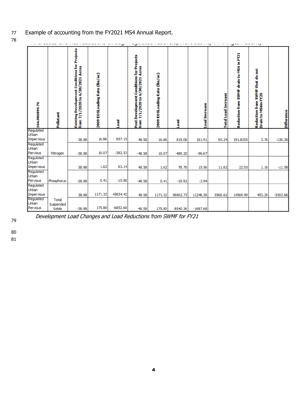- Example of accounting from the FY2021 MS4 Annual Report.
- 

| 104.986899.76                    | Pollutant                           | Existing Development Conditions for Projects<br>from 7/1/2020 to 6/30/2021 Acres | 2009 EOSLoading Rate (lbs/ac) | <b>beo</b> | Post Development Conditions for Projects<br>from 7/1/2020 to 6/30/2021 Acres | 2009 EOSLoading Rate (lbs/ac) | Load       | <b>Load Increase</b> | <b>Total Load Increase</b> | پ<br>Reduction from SWMF drain to MS4 in FY21 | - 1<br>Reduction from SWMF that do not<br>Drain to MS4in FY20 | <b>Difference</b> |
|----------------------------------|-------------------------------------|----------------------------------------------------------------------------------|-------------------------------|------------|------------------------------------------------------------------------------|-------------------------------|------------|----------------------|----------------------------|-----------------------------------------------|---------------------------------------------------------------|-------------------|
| Regulated<br>Urban<br>Impervious |                                     | 38.98                                                                            | 16.86                         | 657.15     | 48.58                                                                        | 16.86                         | 819.06     | 161.91               | 65.24                      | 191.8355                                      | 3.76                                                          | $-130.36$         |
| Regulated<br>Urban<br>Pervious   | Nitrogen                            | $-38.98$                                                                         | 10.07                         | $-392.53$  | $-48.58$                                                                     | 10.07                         | $-489.20$  | $-96.67$             |                            |                                               |                                                               |                   |
| Regulated<br>Urban<br>Impervious |                                     | 38.98                                                                            | 1.62                          | 63.14      | 48.58                                                                        | 1.62                          | 78.70      | 15.56                | 11.62                      | 22.05                                         | 1.16                                                          | $-11.58$          |
| Regulated<br>Urban<br>Pervious   | Phosphorus                          | $-38.98$                                                                         | 0.41                          | $-15.98$   | $-48.58$                                                                     | 0.41                          | $-19.92$   | $-3.94$              |                            |                                               |                                                               |                   |
| Regulated<br>Urban<br>Impervious |                                     | 38.98                                                                            | 1171.32                       | 45654.42   | 48.58                                                                        | 1171.32                       | 56902.73   | 11248.30             | 9560.62                    | 14569.99                                      | 493.29                                                        | $-5502.66$        |
| Regulated<br>Urban<br>Pervious   | <b>Total</b><br>Suspended<br>Solids | $-38.98$                                                                         | 175.80                        | $-6852.68$ | $-48.58$                                                                     | 175.80                        | $-8540.36$ | $-1687.68$           |                            |                                               |                                                               |                   |



Development Load Changes and Load Reductions from SWMF for FY21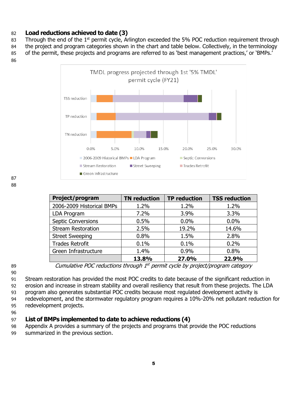#### <span id="page-6-0"></span>**Load reductions achieved to date (3)**

83 Through the end of the 1<sup>st</sup> permit cycle, Arlington exceeded the 5% POC reduction requirement through 84 the project and program categories shown in the chart and table below. Collectively, in the terminology

of the permit, these projects and programs are referred to as 'best management practices,' or 'BMPs.'



| Project/program           | <b>TN</b> reduction | <b>TP reduction</b> | <b>TSS reduction</b> |
|---------------------------|---------------------|---------------------|----------------------|
| 2006-2009 Historical BMPs | 1.2%                | 1.2%                | 1.2%                 |
| LDA Program               | 7.2%                | 3.9%                | 3.3%                 |
| <b>Septic Conversions</b> | 0.5%                | 0.0%                | 0.0%                 |
| <b>Stream Restoration</b> | 2.5%                | 19.2%               | 14.6%                |
| <b>Street Sweeping</b>    | 0.8%                | 1.5%                | 2.8%                 |
| <b>Trades Retrofit</b>    | 0.1%                | 0.1%                | 0.2%                 |
| Green Infrastructure      | 1.4%                | 0.9%                | 0.8%                 |
|                           | 13.8%               | 27.0%               | 22.9%                |

Stream restoration has provided the most POC credits to date because of the significant reduction in

 erosion and increase in stream stability and overall resiliency that result from these projects. The LDA program also generates substantial POC credits because most regulated development activity is

redevelopment, and the stormwater regulatory program requires a 10%-20% net pollutant reduction for

redevelopment projects.

#### 

#### <span id="page-6-1"></span>**List of BMPs implemented to date to achieve reductions (4)**

 Appendix A provides a summary of the projects and programs that provide the POC reductions summarized in the previous section.

Cumulative POC reductions through 1 st permit cycle by project/program category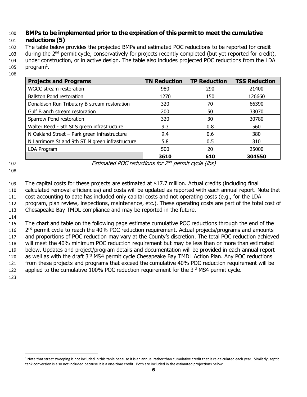### <span id="page-7-0"></span>100 **BMPs to be implemented prior to the expiration of this permit to meet the cumulative**

#### 101 **reductions (5)**

 The table below provides the projected BMPs and estimated POC reductions to be reported for credit 103 during the 2<sup>nd</sup> permit cycle, conservatively for projects recently completed (but yet reported for credit), under construction, or in active design. The table also includes projected POC reductions from the LDA  $program<sup>1</sup>$ .

| <b>Projects and Programs</b>                     | <b>TN Reduction</b> | <b>TP Reduction</b> | <b>TSS Reduction</b> |
|--------------------------------------------------|---------------------|---------------------|----------------------|
| WGCC stream restoration                          | 980                 | 290                 | 21400                |
| <b>Ballston Pond restoration</b>                 | 1270                | 150                 | 126660               |
| Donaldson Run Tributary B stream restoration     | 320                 | 70                  | 66390                |
| Gulf Branch stream restoration                   | 200                 | 50                  | 33070                |
| Sparrow Pond restoration                         | 320                 | 30                  | 30780                |
| Walter Reed - 5th St S green infrastructure      | 9.3                 | 0.8                 | 560                  |
| N Oakland Street - Park green infrastructure     | 9.4                 | 0.6                 | 380                  |
| N Larrimore St and 9th ST N green infrastructure | 5.8                 | 0.5                 | 310                  |
| LDA Program                                      | 500                 | 20                  | 25000                |
|                                                  | 3610                | 610                 | 304550               |

106

107 **Estimated POC reductions for 2<sup>nd</sup> permit cycle (lbs)** 

108

 The capital costs for these projects are estimated at \$17.7 million. Actual credits (including final calculated removal efficiencies) and costs will be updated as reported with each annual report. Note that cost accounting to date has included only capital costs and not operating costs (e.g., for the LDA program, plan review, inspections, maintenance, etc.). These operating costs are part of the total cost of Chesapeake Bay TMDL compliance and may be reported in the future.

114

 The chart and table on the following page estimate cumulative POC reductions through the end of the 116 2<sup>nd</sup> permit cycle to reach the 40% POC reduction requirement. Actual projects/programs and amounts and proportions of POC reduction may vary at the County's discretion. The total POC reduction achieved will meet the 40% minimum POC reduction requirement but may be less than or more than estimated below. Updates and project/program details and documentation will be provided in each annual report 120 as well as with the draft 3<sup>rd</sup> MS4 permit cycle Chesapeake Bay TMDL Action Plan. Any POC reductions from these projects and programs that exceed the cumulative 40% POC reduction requirement will be 122 applied to the cumulative 100% POC reduction requirement for the  $3<sup>rd</sup>$  MS4 permit cycle.

<sup>&</sup>lt;sup>1</sup> Note that street sweeping is not included in this table because it is an annual rather than cumulative credit that is re-calculated each year. Similarly, septic tank conversion is also not included because it is a one-time credit. Both are included in the estimated projections below.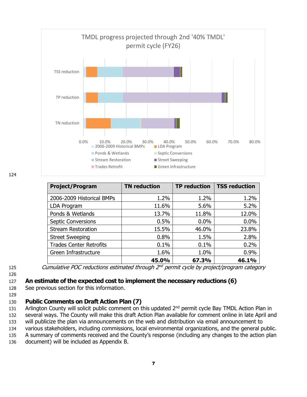

| <b>Project/Program</b>         | <b>TN</b> reduction | <b>TP</b> reduction | <b>TSS reduction</b> |
|--------------------------------|---------------------|---------------------|----------------------|
| 2006-2009 Historical BMPs      | 1.2%                | 1.2%                | 1.2%                 |
| LDA Program                    | 11.6%               | 5.6%                | 5.2%                 |
| Ponds & Wetlands               | 13.7%               | 11.8%               | 12.0%                |
| <b>Septic Conversions</b>      | 0.5%                | 0.0%                | 0.0%                 |
| <b>Stream Restoration</b>      | 15.5%               | 46.0%               | 23.8%                |
| <b>Street Sweeping</b>         | 0.8%                | 1.5%                | 2.8%                 |
| <b>Trades Center Retrofits</b> | 0.1%                | 0.1%                | 0.2%                 |
| Green Infrastructure           | 1.6%                | 1.0%                | 0.9%                 |
|                                | 45.0%               | 67.3%               | 46.1%                |

125 Cumulative POC reductions estimated through 2<sup>nd</sup> permit cycle by project/program category

#### 126

129

- <span id="page-8-0"></span>127 **An estimate of the expected cost to implement the necessary reductions (6)**
- 128 See previous section for this information.

#### <span id="page-8-1"></span>130 **Public Comments on Draft Action Plan (7)**

131 Arlington County will solicit public comment on this updated 2<sup>nd</sup> permit cycle Bay TMDL Action Plan in 132 several ways. The County will make this draft Action Plan available for comment online in late April and

133 will publicize the plan via announcements on the web and distribution via email announcement to

134 various stakeholders, including commissions, local environmental organizations, and the general public.

135 A summary of comments received and the County's response (including any changes to the action plan

136 document) will be included as Appendix B.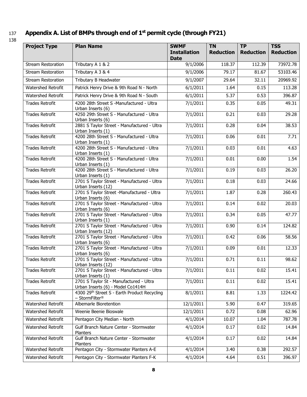#### 137 **Appendix A. List of BMPs through end of 1<sup>st</sup> permit cycle (through FY21)**

| ۰.<br>×<br>۰, |  |
|---------------|--|

<span id="page-9-0"></span>

| Appendix A. List of BMPs through end of $1st$ permit cycle (through FY21) |                                                                              |                                                   |                               |                               |                                |  |  |  |
|---------------------------------------------------------------------------|------------------------------------------------------------------------------|---------------------------------------------------|-------------------------------|-------------------------------|--------------------------------|--|--|--|
| <b>Project Type</b>                                                       | <b>Plan Name</b>                                                             | <b>SWMF</b><br><b>Installation</b><br><b>Date</b> | <b>TN</b><br><b>Reduction</b> | <b>TP</b><br><b>Reduction</b> | <b>TSS</b><br><b>Reduction</b> |  |  |  |
| <b>Stream Restoration</b>                                                 | Tributary A 1 & 2                                                            | 9/1/2006                                          | 118.37                        | 112.39                        | 73972.78                       |  |  |  |
| <b>Stream Restoration</b>                                                 | Tributary A 3 & 4                                                            | 9/1/2006                                          | 79.17                         | 81.67                         | 53103.46                       |  |  |  |
| <b>Stream Restoration</b>                                                 | Tributary B Headwater                                                        | 9/1/2007                                          | 29.64                         | 32.11                         | 20969.92                       |  |  |  |
| Watershed Retrofit                                                        | Patrick Henry Drive & 9th Road N - North                                     | 6/1/2011                                          | 1.64                          | 0.15                          | 113.28                         |  |  |  |
| Watershed Retrofit                                                        | Patrick Henry Drive & 9th Road N - South                                     | 6/1/2011                                          | 5.37                          | 0.53                          | 396.87                         |  |  |  |
| <b>Trades Retrofit</b>                                                    | 4200 28th Street S -Manufactured - Ultra<br>Urban Inserts (6)                | 7/1/2011                                          | 0.35                          | 0.05                          | 49.31                          |  |  |  |
| <b>Trades Retrofit</b>                                                    | 4250 29th Street S - Manufactured - Ultra<br>Urban Inserts (6)               | 7/1/2011                                          | 0.21                          | 0.03                          | 29.28                          |  |  |  |
| <b>Trades Retrofit</b>                                                    | 2881 S Taylor Street - Manufactured - Ultra<br>Urban Inserts (1)             | 7/1/2011                                          | 0.28                          | 0.04                          | 38.53                          |  |  |  |
| <b>Trades Retrofit</b>                                                    | 4200 28th Street S - Manufactured - Ultra<br>Urban Inserts (1)               | 7/1/2011                                          | 0.06                          | 0.01                          | 7.71                           |  |  |  |
| <b>Trades Retrofit</b>                                                    | 4200 28th Street S - Manufactured - Ultra<br>Urban Inserts (1)               | 7/1/2011                                          | 0.03                          | 0.01                          | 4.63                           |  |  |  |
| <b>Trades Retrofit</b>                                                    | 4200 28th Street S - Manufactured - Ultra<br>Urban Inserts (1)               | 7/1/2011                                          | 0.01                          | 0.00                          | 1.54                           |  |  |  |
| <b>Trades Retrofit</b>                                                    | 4200 28th Street S - Manufactured - Ultra<br>Urban Inserts (1)               | 7/1/2011                                          | 0.19                          | 0.03                          | 26.20                          |  |  |  |
| <b>Trades Retrofit</b>                                                    | 2701 S Taylor Street - Manufactured - Ultra<br>Urban Inserts (12)            | 7/1/2011                                          | 0.18                          | 0.03                          | 24.66                          |  |  |  |
| <b>Trades Retrofit</b>                                                    | 2701 S Taylor Street -Manufactured - Ultra<br>Urban Inserts (6)              | 7/1/2011                                          | 1.87                          | 0.28                          | 260.43                         |  |  |  |
| <b>Trades Retrofit</b>                                                    | 2701 S Taylor Street - Manufactured - Ultra<br>Urban Inserts (6)             | 7/1/2011                                          | 0.14                          | 0.02                          | 20.03                          |  |  |  |
| <b>Trades Retrofit</b>                                                    | 2701 S Taylor Street - Manufactured - Ultra<br>Urban Inserts (1)             | 7/1/2011                                          | 0.34                          | 0.05                          | 47.77                          |  |  |  |
| <b>Trades Retrofit</b>                                                    | 2701 S Taylor Street - Manufactured - Ultra<br>Urban Inserts (12)            | 7/1/2011                                          | 0.90                          | 0.14                          | 124.82                         |  |  |  |
| <b>Trades Retrofit</b>                                                    | 2701 S Taylor Street - Manufactured - Ultra<br>Urban Inserts (6)             | 7/1/2011                                          | 0.42                          | 0.06                          | 58.56                          |  |  |  |
| <b>Trades Retrofit</b>                                                    | 2701 S Taylor Street - Manufactured - Ultra<br>Urban Inserts (6)             | 7/1/2011                                          | 0.09                          | 0.01                          | 12.33                          |  |  |  |
| <b>Trades Retrofit</b>                                                    | 2701 S Taylor Street - Manufactured - Ultra<br>Urban Inserts (12)            | 7/1/2011                                          | 0.71                          | 0.11                          | 98.62                          |  |  |  |
| <b>Trades Retrofit</b>                                                    | 2701 S Taylor Street - Manufactured - Ultra<br>Urban Inserts (1)             | 7/1/2011                                          | 0.11                          | 0.02                          | 15.41                          |  |  |  |
| <b>Trades Retrofit</b>                                                    | 2701 S Taylor St - Manufactured - Ultra<br>Urban Inserts (6) - Model Co1414H | 7/1/2011                                          | 0.11                          | 0.02                          | 15.41                          |  |  |  |
| <b>Trades Retrofit</b>                                                    | 4300 29th Street S - Earth Product Recycling<br>- StormFilter <sup>®</sup>   | 8/1/2011                                          | 8.81                          | 1.33                          | 1224.42                        |  |  |  |
| Watershed Retrofit                                                        | Albemarle Bioretention                                                       | 12/1/2011                                         | 5.90                          | 0.47                          | 319.65                         |  |  |  |
| Watershed Retrofit                                                        | Weenie Beenie Bioswale                                                       | 12/1/2011                                         | 0.72                          | 0.08                          | 62.96                          |  |  |  |

4/1/2014 0.17 0.02 14.84

4/1/2014 0.17 0.02 14.84

Watershed Retrofit | Gulf Branch Nature Center - Stormwater Planters

Watershed Retrofit Gulf Branch Nature Center - Stormwater Planters

Watershed Retrofit | Pentagon City Median - North  $4/1/2014$  |  $10.07$  |  $1.04$  | 787.78

Watershed Retrofit | Pentagon City - Stormwater Planters A-E | 4/1/2014 | 3.40 | 0.38 | 292.57 Watershed Retrofit | Pentagon City - Stormwater Planters F-K | 4/1/2014 | 4.64 | 0.51 | 396.97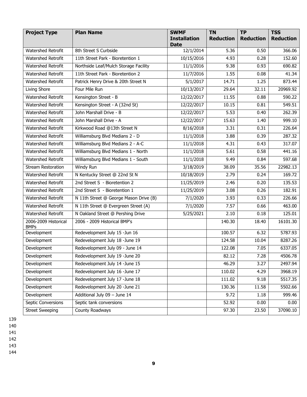| <b>Project Type</b>                 | <b>Plan Name</b>                       | <b>SWMF</b><br><b>Installation</b><br><b>Date</b> | <b>TN</b><br><b>Reduction</b> | <b>TP</b><br><b>Reduction</b> | <b>TSS</b><br><b>Reduction</b> |
|-------------------------------------|----------------------------------------|---------------------------------------------------|-------------------------------|-------------------------------|--------------------------------|
| Watershed Retrofit                  | 8th Street S Curbside                  | 12/1/2014                                         | 5.36                          | 0.50                          | 366.06                         |
| <b>Watershed Retrofit</b>           | 11th Street Park - Bioretention 1      | 10/15/2016                                        | 4.93                          | 0.28                          | 152.60                         |
| Watershed Retrofit                  | Northside Leaf/Mulch Storage Facility  | 11/1/2016                                         | 9.38                          | 0.93                          | 690.82                         |
| Watershed Retrofit                  | 11th Street Park - Bioretention 2      | 11/7/2016                                         | 1.55                          | 0.08                          | 41.34                          |
| Watershed Retrofit                  | Patrick Henry Drive & 20th Street N    | 5/1/2017                                          | 14.71                         | 1.25                          | 873.44                         |
| Living Shore                        | Four Mile Run                          | 10/13/2017                                        | 29.64                         | 32.11                         | 20969.92                       |
| Watershed Retrofit                  | Kensington Street - B                  | 12/22/2017                                        | 11.55                         | 0.88                          | 590.22                         |
| Watershed Retrofit                  | Kensington Street - A (32nd St)        | 12/22/2017                                        | 10.15                         | 0.81                          | 549.51                         |
| Watershed Retrofit                  | John Marshall Drive - B                | 12/22/2017                                        | 5.53                          | 0.40                          | 262.39                         |
| Watershed Retrofit                  | John Marshall Drive - A                | 12/22/2017                                        | 15.63                         | 1.40                          | 999.10                         |
| Watershed Retrofit                  | Kirkwood Road @13th Street N           | 8/16/2018                                         | 3.31                          | 0.31                          | 226.64                         |
| Watershed Retrofit                  | Williamsburg Blvd Medians 2 - D        | 11/1/2018                                         | 3.88                          | 0.39                          | 287.32                         |
| <b>Watershed Retrofit</b>           | Williamsburg Blvd Medians 2 - A-C      | 11/1/2018                                         | 4.31                          | 0.43                          | 317.07                         |
| Watershed Retrofit                  | Williamsburg Blvd Medians 1 - North    | 11/1/2018                                         | 5.61                          | 0.58                          | 441.16                         |
| Watershed Retrofit                  | Williamsburg Blvd Medians 1 - South    | 11/1/2018                                         | 9.49                          | 0.84                          | 597.68                         |
| <b>Stream Restoration</b>           | Windy Run                              | 3/18/2019                                         | 38.09                         | 35.56                         | 22982.13                       |
| Watershed Retrofit                  | N Kentucky Street @ 22nd St N          | 10/18/2019                                        | 2.79                          | 0.24                          | 169.72                         |
| <b>Watershed Retrofit</b>           | 2nd Street S - Bioretention 2          | 11/25/2019                                        | 2.46                          | 0.20                          | 135.53                         |
| Watershed Retrofit                  | 2nd Street S - Bioretention 1          | 11/25/2019                                        | 3.08                          | 0.26                          | 182.91                         |
| <b>Watershed Retrofit</b>           | N 11th Street @ George Mason Drive (B) | 7/1/2020                                          | 3.93                          | 0.33                          | 226.66                         |
| Watershed Retrofit                  | N 11th Street @ Evergreen Street (A)   | 7/1/2020                                          | 7.57                          | 0.66                          | 463.00                         |
| Watershed Retrofit                  | N Oakland Street @ Pershing Drive      | 5/25/2021                                         | 2.10                          | 0.18                          | 125.01                         |
| 2006-2009 Historical<br><b>BMPs</b> | 2006 - 2009 Historical BMP's           |                                                   | 140.30                        | 18.40                         | 16101.30                       |
| Development                         | Redevelopment July 15 -Jun 16          |                                                   | 100.57                        | 6.32                          | 5787.93                        |
| Development                         | Redevelopment July 18 -June 19         |                                                   | 124.58                        | 10.04                         | 8287.26                        |
| Development                         | Redevelopment July 09 - June 14        |                                                   | 122.08                        | 7.05                          | 6337.05                        |
| Development                         | Redevelopment July 19 -June 20         |                                                   | 82.12                         | 7.28                          | 4506.78                        |
| Development                         | Redevelopment July 14 -June 15         |                                                   | 46.29                         | 3.27                          | 2497.94                        |
| Development                         | Redevelopment July 16 -June 17         |                                                   | 110.02                        | 4.29                          | 3968.19                        |
| Development                         | Redevelopment July 17 -June 18         |                                                   | 111.02                        | 9.18                          | 5517.35                        |
| Development                         | Redevelopment July 20 -June 21         |                                                   | 130.36                        | 11.58                         | 5502.66                        |
| Development                         | Additional July 09 - June 14           |                                                   | 9.72                          | 1.18                          | 999.46                         |
| Septic Conversions                  | Septic tank conversions                |                                                   | 52.92                         | 0.00                          | 0.00                           |
| <b>Street Sweeping</b>              | County Roadways                        |                                                   | 97.30                         | 23.50                         | 37090.10                       |

139

140

141

142

143